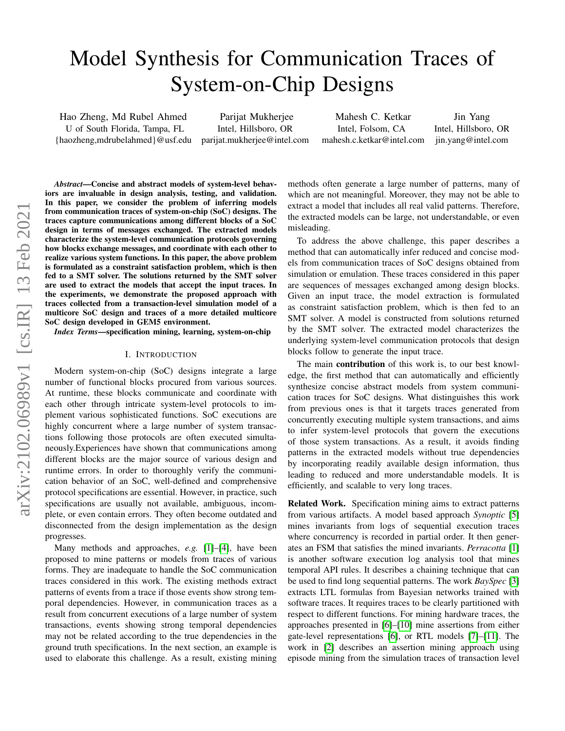# Model Synthesis for Communication Traces of System-on-Chip Designs

Hao Zheng, Md Rubel Ahmed U of South Florida, Tampa, FL {haozheng,mdrubelahmed}@usf.edu

Parijat Mukherjee Intel, Hillsboro, OR parijat.mukherjee@intel.com

Mahesh C. Ketkar Intel, Folsom, CA mahesh.c.ketkar@intel.com

Jin Yang Intel, Hillsboro, OR jin.yang@intel.com

*Abstract*—Concise and abstract models of system-level behaviors are invaluable in design analysis, testing, and validation. In this paper, we consider the problem of inferring models from communication traces of system-on-chip (SoC) designs. The traces capture communications among different blocks of a SoC design in terms of messages exchanged. The extracted models characterize the system-level communication protocols governing how blocks exchange messages, and coordinate with each other to realize various system functions. In this paper, the above problem is formulated as a constraint satisfaction problem, which is then fed to a SMT solver. The solutions returned by the SMT solver are used to extract the models that accept the input traces. In the experiments, we demonstrate the proposed approach with traces collected from a transaction-level simulation model of a multicore SoC design and traces of a more detailed multicore SoC design developed in GEM5 environment.

*Index Terms*—specification mining, learning, system-on-chip

#### I. INTRODUCTION

Modern system-on-chip (SoC) designs integrate a large number of functional blocks procured from various sources. At runtime, these blocks communicate and coordinate with each other through intricate system-level protocols to implement various sophisticated functions. SoC executions are highly concurrent where a large number of system transactions following those protocols are often executed simultaneously.Experiences have shown that communications among different blocks are the major source of various design and runtime errors. In order to thoroughly verify the communication behavior of an SoC, well-defined and comprehensive protocol specifications are essential. However, in practice, such specifications are usually not available, ambiguous, incomplete, or even contain errors. They often become outdated and disconnected from the design implementation as the design progresses.

Many methods and approaches, *e.g.* [\[1\]](#page-5-0)–[\[4\]](#page-5-1), have been proposed to mine patterns or models from traces of various forms. They are inadequate to handle the SoC communication traces considered in this work. The existing methods extract patterns of events from a trace if those events show strong temporal dependencies. However, in communication traces as a result from concurrent executions of a large number of system transactions, events showing strong temporal dependencies may not be related according to the true dependencies in the ground truth specifications. In the next section, an example is used to elaborate this challenge. As a result, existing mining methods often generate a large number of patterns, many of which are not meaningful. Moreover, they may not be able to extract a model that includes all real valid patterns. Therefore, the extracted models can be large, not understandable, or even misleading.

To address the above challenge, this paper describes a method that can automatically infer reduced and concise models from communication traces of SoC designs obtained from simulation or emulation. These traces considered in this paper are sequences of messages exchanged among design blocks. Given an input trace, the model extraction is formulated as constraint satisfaction problem, which is then fed to an SMT solver. A model is constructed from solutions returned by the SMT solver. The extracted model characterizes the underlying system-level communication protocols that design blocks follow to generate the input trace.

The main contribution of this work is, to our best knowledge, the first method that can automatically and efficiently synthesize concise abstract models from system communication traces for SoC designs. What distinguishes this work from previous ones is that it targets traces generated from concurrently executing multiple system transactions, and aims to infer system-level protocols that govern the executions of those system transactions. As a result, it avoids finding patterns in the extracted models without true dependencies by incorporating readily available design information, thus leading to reduced and more understandable models. It is efficiently, and scalable to very long traces.

Related Work. Specification mining aims to extract patterns from various artifacts. A model based approach *Synoptic* [\[5\]](#page-5-2) mines invariants from logs of sequential execution traces where concurrency is recorded in partial order. It then generates an FSM that satisfies the mined invariants. *Perracotta* [\[1\]](#page-5-0) is another software execution log analysis tool that mines temporal API rules. It describes a chaining technique that can be used to find long sequential patterns. The work *BaySpec* [\[3\]](#page-5-3) extracts LTL formulas from Bayesian networks trained with software traces. It requires traces to be clearly partitioned with respect to different functions. For mining hardware traces, the approaches presented in [\[6\]](#page-5-4)–[\[10\]](#page-5-5) mine assertions from either gate-level representations [\[6\]](#page-5-4), or RTL models [\[7\]](#page-5-6)–[\[11\]](#page-5-7). The work in [\[2\]](#page-5-8) describes an assertion mining approach using episode mining from the simulation traces of transaction level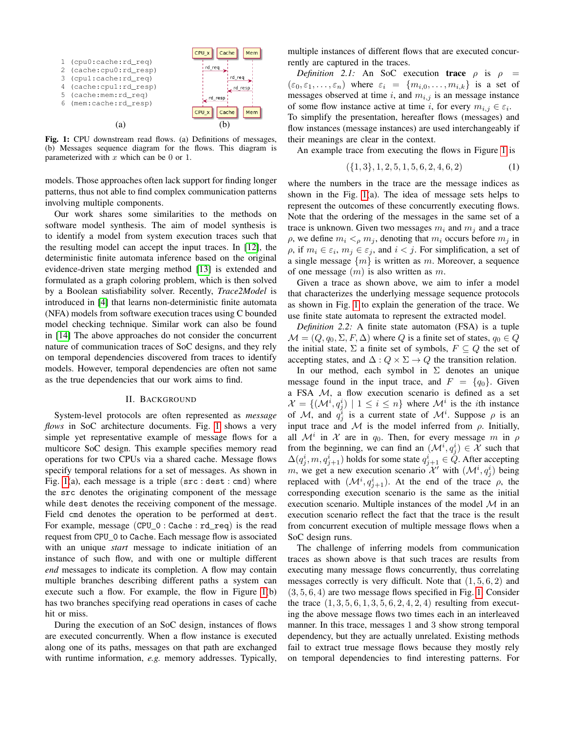<span id="page-1-0"></span>

Fig. 1: CPU downstream read flows. (a) Definitions of messages, (b) Messages sequence diagram for the flows. This diagram is parameterized with  $x$  which can be 0 or 1.

models. Those approaches often lack support for finding longer patterns, thus not able to find complex communication patterns involving multiple components.

Our work shares some similarities to the methods on software model synthesis. The aim of model synthesis is to identify a model from system execution traces such that the resulting model can accept the input traces. In [\[12\]](#page-5-9), the deterministic finite automata inference based on the original evidence-driven state merging method [\[13\]](#page-5-10) is extended and formulated as a graph coloring problem, which is then solved by a Boolean satisfiability solver. Recently, *Trace2Model* is introduced in [\[4\]](#page-5-1) that learns non-deterministic finite automata (NFA) models from software execution traces using C bounded model checking technique. Similar work can also be found in [\[14\]](#page-5-11) The above approaches do not consider the concurrent nature of communication traces of SoC designs, and they rely on temporal dependencies discovered from traces to identify models. However, temporal dependencies are often not same as the true dependencies that our work aims to find.

## II. BACKGROUND

System-level protocols are often represented as *message flows* in SoC architecture documents. Fig. [1](#page-1-0) shows a very simple yet representative example of message flows for a multicore SoC design. This example specifies memory read operations for two CPUs via a shared cache. Message flows specify temporal relations for a set of messages. As shown in Fig. [1\(](#page-1-0)a), each message is a triple (src : dest : cmd) where the src denotes the originating component of the message while dest denotes the receiving component of the message. Field cmd denotes the operation to be performed at dest. For example, message (CPU\_0 : Cache : rd\_req) is the read request from CPU\_0 to Cache. Each message flow is associated with an unique *start* message to indicate initiation of an instance of such flow, and with one or multiple different *end* messages to indicate its completion. A flow may contain multiple branches describing different paths a system can execute such a flow. For example, the flow in Figure [1\(](#page-1-0)b) has two branches specifying read operations in cases of cache hit or miss.

During the execution of an SoC design, instances of flows are executed concurrently. When a flow instance is executed along one of its paths, messages on that path are exchanged with runtime information, *e.g.* memory addresses. Typically, multiple instances of different flows that are executed concurrently are captured in the traces.

*Definition 2.1:* An SoC execution **trace**  $\rho$  is  $\rho$  =  $(\varepsilon_0, \varepsilon_1, \ldots, \varepsilon_n)$  where  $\varepsilon_i = \{m_{i,0}, \ldots, m_{i,k}\}\$ is a set of messages observed at time i, and  $m_{i,j}$  is an message instance of some flow instance active at time i, for every  $m_{i,j} \in \varepsilon_i$ . To simplify the presentation, hereafter flows (messages) and flow instances (message instances) are used interchangeably if their meanings are clear in the context.

An example trace from executing the flows in Figure [1](#page-1-0) is

$$
(\{1,3\},1,2,5,1,5,6,2,4,6,2) \tag{1}
$$

where the numbers in the trace are the message indices as shown in the Fig. [1\(](#page-1-0)a). The idea of message sets helps to represent the outcomes of these concurrently executing flows. Note that the ordering of the messages in the same set of a trace is unknown. Given two messages  $m_i$  and  $m_j$  and a trace  $\rho$ , we define  $m_i <_\rho m_j$ , denoting that  $m_i$  occurs before  $m_j$  in  $\rho$ , if  $m_i \in \varepsilon_i$ ,  $m_j \in \varepsilon_j$ , and  $i < j$ . For simplification, a set of a single message  $\{m\}$  is written as m. Moreover, a sequence of one message  $(m)$  is also written as m.

Given a trace as shown above, we aim to infer a model that characterizes the underlying message sequence protocols as shown in Fig. [1](#page-1-0) to explain the generation of the trace. We use finite state automata to represent the extracted model.

*Definition 2.2:* A finite state automaton (FSA) is a tuple  $\mathcal{M} = (Q, q_0, \Sigma, F, \Delta)$  where Q is a finite set of states,  $q_0 \in Q$ the initial state,  $\Sigma$  a finite set of symbols,  $F \subseteq Q$  the set of accepting states, and  $\Delta: Q \times \Sigma \rightarrow Q$  the transition relation.

In our method, each symbol in  $\Sigma$  denotes an unique message found in the input trace, and  $F = \{q_0\}$ . Given a FSA  $M$ , a flow execution scenario is defined as a set  $\mathcal{X} = \{(\mathcal{M}^i, q_j^i) \mid 1 \leq i \leq n\}$  where  $\mathcal{M}^i$  is the *i*th instance of M, and  $q_j^i$  is a current state of  $\mathcal{M}^i$ . Suppose  $\rho$  is an input trace and  $M$  is the model inferred from  $\rho$ . Initially, all  $\mathcal{M}^i$  in  $\mathcal X$  are in  $q_0$ . Then, for every message m in  $\rho$ from the beginning, we can find an  $(\mathcal{M}^i, q_j^i) \in \mathcal{X}$  such that  $\Delta(q_j^i, m, q_{j+1}^i)$  holds for some state  $q_{j+1}^i \in \check{Q}$ . After accepting m, we get a new execution scenario  $\mathcal{X}'$  with  $(\mathcal{M}^i, q_j^i)$  being replaced with  $(\mathcal{M}^i, q_{j+1}^i)$ . At the end of the trace  $\rho$ , the corresponding execution scenario is the same as the initial execution scenario. Multiple instances of the model  $\mathcal M$  in an execution scenario reflect the fact that the trace is the result from concurrent execution of multiple message flows when a SoC design runs.

The challenge of inferring models from communication traces as shown above is that such traces are results from executing many message flows concurrently, thus correlating messages correctly is very difficult. Note that  $(1, 5, 6, 2)$  and  $(3, 5, 6, 4)$  are two message flows specified in Fig. [1.](#page-1-0) Consider the trace  $(1, 3, 5, 6, 1, 3, 5, 6, 2, 4, 2, 4)$  resulting from executing the above message flows two times each in an interleaved manner. In this trace, messages 1 and 3 show strong temporal dependency, but they are actually unrelated. Existing methods fail to extract true message flows because they mostly rely on temporal dependencies to find interesting patterns. For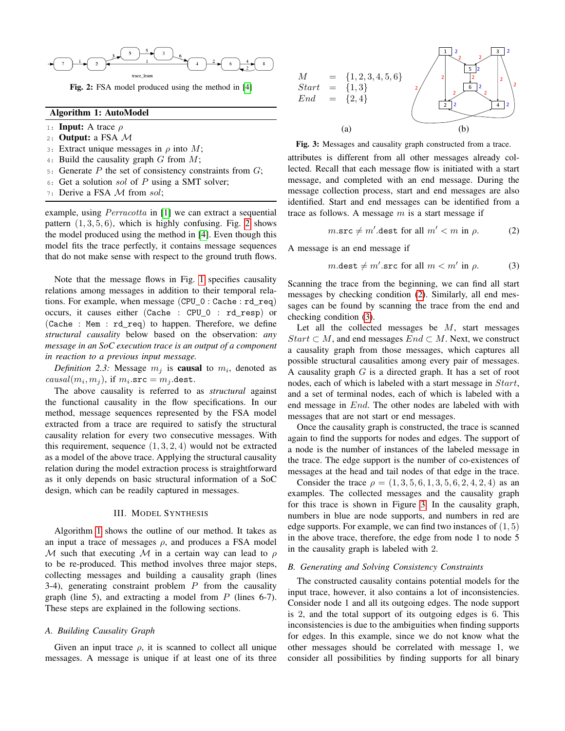<span id="page-2-0"></span>

Fig. 2: FSA model produced using the method in [\[4\]](#page-5-1)

## Algorithm 1: AutoModel

- <span id="page-2-1"></span>1: Input: A trace  $\rho$
- 2: Output: a FSA  $M$
- 3: Extract unique messages in  $\rho$  into M;
- 4: Build the causality graph  $G$  from  $M$ ;
- 5: Generate  $P$  the set of consistency constraints from  $G$ ;
- 6: Get a solution sol of  $P$  using a SMT solver;
- 7: Derive a FSA M from sol;

example, using *Perracotta* in [\[1\]](#page-5-0) we can extract a sequential pattern  $(1, 3, 5, 6)$ , which is highly confusing. Fig. [2](#page-2-0) shows the model produced using the method in [\[4\]](#page-5-1). Even though this model fits the trace perfectly, it contains message sequences that do not make sense with respect to the ground truth flows.

Note that the message flows in Fig. [1](#page-1-0) specifies causality relations among messages in addition to their temporal relations. For example, when message (CPU\_0 : Cache : rd\_req) occurs, it causes either (Cache : CPU\_0 : rd\_resp) or (Cache : Mem : rd\_req) to happen. Therefore, we define *structural causality* below based on the observation: *any message in an SoC execution trace is an output of a component in reaction to a previous input message.*

Definition 2.3: Message  $m_j$  is **causal** to  $m_i$ , denoted as *causal* $(m_i, m_j)$ , if  $m_i$ .src =  $m_j$ .dest.

The above causality is referred to as *structural* against the functional causality in the flow specifications. In our method, message sequences represented by the FSA model extracted from a trace are required to satisfy the structural causality relation for every two consecutive messages. With this requirement, sequence  $(1, 3, 2, 4)$  would not be extracted as a model of the above trace. Applying the structural causality relation during the model extraction process is straightforward as it only depends on basic structural information of a SoC design, which can be readily captured in messages.

#### III. MODEL SYNTHESIS

Algorithm [1](#page-2-1) shows the outline of our method. It takes as an input a trace of messages  $\rho$ , and produces a FSA model M such that executing M in a certain way can lead to  $\rho$ to be re-produced. This method involves three major steps, collecting messages and building a causality graph (lines 3-4), generating constraint problem  $P$  from the causality graph (line 5), and extracting a model from  $P$  (lines 6-7). These steps are explained in the following sections.

## *A. Building Causality Graph*

Given an input trace  $\rho$ , it is scanned to collect all unique messages. A message is unique if at least one of its three

<span id="page-2-4"></span>

| $M_{-}$<br>End | $= \{1, 2, 3, 4, 5, 6\}$<br>$Start = \{1,3\}$<br>$= \{2,4\}$ | $\overline{2}$<br>3<br>5<br>$\overline{2}$<br>$\overline{2}$<br>6<br>$\overline{2}$ |
|----------------|--------------------------------------------------------------|-------------------------------------------------------------------------------------|
|                | (a)                                                          |                                                                                     |

Fig. 3: Messages and causality graph constructed from a trace.

attributes is different from all other messages already collected. Recall that each message flow is initiated with a start message, and completed with an end message. During the message collection process, start and end messages are also identified. Start and end messages can be identified from a trace as follows. A message  $m$  is a start message if

<span id="page-2-2"></span>
$$
m.\texttt{src} \neq m'.\texttt{dest for all } m' < m \text{ in } \rho. \tag{2}
$$

A message is an end message if

<span id="page-2-3"></span>
$$
m.\mathtt{dest} \neq m'.\mathtt{src} \text{ for all } m < m' \text{ in } \rho. \tag{3}
$$

Scanning the trace from the beginning, we can find all start messages by checking condition [\(2\)](#page-2-2). Similarly, all end messages can be found by scanning the trace from the end and checking condition [\(3\)](#page-2-3).

Let all the collected messages be  $M$ , start messages Start  $\subset M$ , and end messages  $End \subset M$ . Next, we construct a causality graph from those messages, which captures all possible structural causalities among every pair of messages. A causality graph  $G$  is a directed graph. It has a set of root nodes, each of which is labeled with a start message in Start, and a set of terminal nodes, each of which is labeled with a end message in End. The other nodes are labeled with with messages that are not start or end messages.

Once the causality graph is constructed, the trace is scanned again to find the supports for nodes and edges. The support of a node is the number of instances of the labeled message in the trace. The edge support is the number of co-existences of messages at the head and tail nodes of that edge in the trace.

Consider the trace  $\rho = (1, 3, 5, 6, 1, 3, 5, 6, 2, 4, 2, 4)$  as an examples. The collected messages and the causality graph for this trace is shown in Figure [3.](#page-2-4) In the causality graph, numbers in blue are node supports, and numbers in red are edge supports. For example, we can find two instances of (1, 5) in the above trace, therefore, the edge from node 1 to node 5 in the causality graph is labeled with 2.

#### *B. Generating and Solving Consistency Constraints*

The constructed causality contains potential models for the input trace, however, it also contains a lot of inconsistencies. Consider node 1 and all its outgoing edges. The node support is 2, and the total support of its outgoing edges is 6. This inconsistencies is due to the ambiguities when finding supports for edges. In this example, since we do not know what the other messages should be correlated with message 1, we consider all possibilities by finding supports for all binary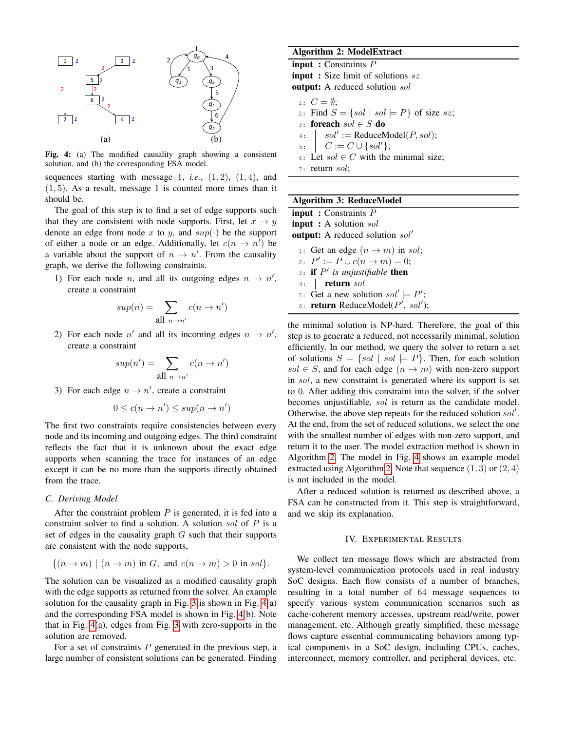<span id="page-3-0"></span>

Fig. 4: (a) The modified causality graph showing a consistent solution, and (b) the corresponding FSA model.

sequences starting with message 1, *i.e.*,  $(1, 2)$ ,  $(1, 4)$ , and  $(1, 5)$ . As a result, message 1 is counted more times than it should be.

The goal of this step is to find a set of edge supports such that they are consistent with node supports. First, let  $x \to y$ denote an edge from node x to y, and  $sup(\cdot)$  be the support of either a node or an edge. Additionally, let  $c(n \to n')$  be a variable about the support of  $n \to n'$ . From the causality graph, we derive the following constraints.

1) For each node *n*, and all its outgoing edges  $n \rightarrow n'$ , create a constraint

$$
sup(n) = \sum_{\text{all } n \to n'} c(n \to n')
$$

2) For each node  $n'$  and all its incoming edges  $n \to n'$ , create a constraint

$$
sup(n') = \sum_{\text{all } n \to n'} c(n \to n')
$$

3) For each edge  $n \to n'$ , create a constraint

$$
0 \le c(n \to n') \le \sup(n \to n')
$$

The first two constraints require consistencies between every node and its incoming and outgoing edges. The third constraint reflects the fact that it is unknown about the exact edge supports when scanning the trace for instances of an edge except it can be no more than the supports directly obtained from the trace.

## *C. Deriving Model*

After the constraint problem  $P$  is generated, it is fed into a constraint solver to find a solution. A solution sol of P is a set of edges in the causality graph  $G$  such that their supports are consistent with the node supports,

$$
\{(n \to m) \mid (n \to m) \text{ in } G, \text{ and } c(n \to m) > 0 \text{ in } sol\}.
$$

The solution can be visualized as a modified causality graph with the edge supports as returned from the solver. An example solution for the causality graph in Fig. [3](#page-2-4) is shown in Fig. [4\(](#page-3-0)a) and the corresponding FSA model is shown in Fig. [4\(](#page-3-0)b). Note that in Fig. [4\(](#page-3-0)a), edges from Fig. [3](#page-2-4) with zero-supports in the solution are removed.

For a set of constraints  $P$  generated in the previous step, a large number of consistent solutions can be generated. Finding

## Algorithm 2: ModelExtract

<span id="page-3-1"></span>input : Constraints P input : Size limit of solutions sz output: A reduced solution sol 1:  $C = \emptyset$ ; 2: Find  $S = \{sol \mid sol \models P\}$  of size sz; 3: foreach  $sol \in S$  do 4:  $| sol' := \text{ReduceModel}(P, sol);$ 5:  $C := C \cup \{sol'\};$ 6: Let  $sol \in C$  with the minimal size;

7: return sol;

## Algorithm 3: ReduceModel

<span id="page-3-2"></span>input : Constraints P input : A solution sol **output:** A reduced solution  $sol'$ 

1: Get an edge  $(n \rightarrow m)$  in sol; 2:  $P' := P \cup c(n \to m) = 0;$  $3:$  if  $P'$  is unjustifiable then 4: **return** sol 5: Get a new solution  $sol' \models P'$ ; 6: return ReduceModel( $P'$ , sol');

the minimal solution is NP-hard. Therefore, the goal of this step is to generate a reduced, not necessarily minimal, solution efficiently. In our method, we query the solver to return a set of solutions  $S = \{sol \mid sol \models P\}$ . Then, for each solution sol  $\in S$ , and for each edge  $(n \to m)$  with non-zero support in sol, a new constraint is generated where its support is set to 0. After adding this constraint into the solver, if the solver becomes unjustifiable, sol is return as the candidate model. Otherwise, the above step repeats for the reduced solution  $sol'$ . At the end, from the set of reduced solutions, we select the one with the smallest number of edges with non-zero support, and return it to the user. The model extraction method is shown in Algorithm [2.](#page-3-1) The model in Fig. [4](#page-3-0) shows an example model extracted using Algorithm [2.](#page-3-1) Note that sequence  $(1, 3)$  or  $(2, 4)$ is not included in the model.

After a reduced solution is returned as described above, a FSA can be constructed from it. This step is straightforward, and we skip its explanation.

## IV. EXPERIMENTAL RESULTS

We collect ten message flows which are abstracted from system-level communication protocols used in real industry SoC designs. Each flow consists of a number of branches, resulting in a total number of 64 message sequences to specify various system communication scenarios such as cache-coherent memory accesses, upstream read/write, power management, etc. Although greatly simplified, these message flows capture essential communicating behaviors among typical components in a SoC design, including CPUs, caches, interconnect, memory controller, and peripheral devices, etc.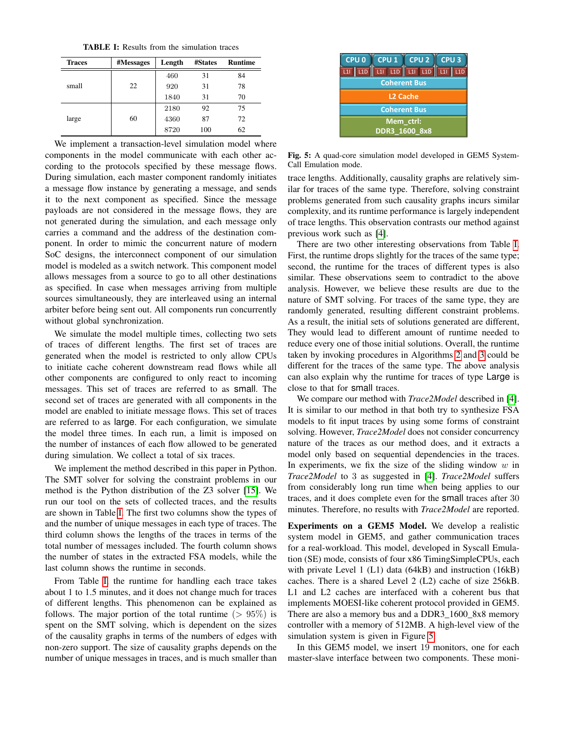TABLE I: Results from the simulation traces

<span id="page-4-0"></span>

| <b>Traces</b> | #Messages | Length | #States | <b>Runtime</b> |
|---------------|-----------|--------|---------|----------------|
|               |           | 460    | 31      | 84             |
| small         | 22        | 920    | 31      | 78             |
|               |           | 1840   | 31      | 70             |
|               |           | 2180   | 92      | 75             |
| large         | 60        | 4360   | 87      | 72             |
|               |           | 8720   | 100     | 62             |

We implement a transaction-level simulation model where components in the model communicate with each other according to the protocols specified by these message flows. During simulation, each master component randomly initiates a message flow instance by generating a message, and sends it to the next component as specified. Since the message payloads are not considered in the message flows, they are not generated during the simulation, and each message only carries a command and the address of the destination component. In order to mimic the concurrent nature of modern SoC designs, the interconnect component of our simulation model is modeled as a switch network. This component model allows messages from a source to go to all other destinations as specified. In case when messages arriving from multiple sources simultaneously, they are interleaved using an internal arbiter before being sent out. All components run concurrently without global synchronization.

We simulate the model multiple times, collecting two sets of traces of different lengths. The first set of traces are generated when the model is restricted to only allow CPUs to initiate cache coherent downstream read flows while all other components are configured to only react to incoming messages. This set of traces are referred to as small. The second set of traces are generated with all components in the model are enabled to initiate message flows. This set of traces are referred to as large. For each configuration, we simulate the model three times. In each run, a limit is imposed on the number of instances of each flow allowed to be generated during simulation. We collect a total of six traces.

We implement the method described in this paper in Python. The SMT solver for solving the constraint problems in our method is the Python distribution of the Z3 solver [\[15\]](#page-5-12). We run our tool on the sets of collected traces, and the results are shown in Table [I.](#page-4-0) The first two columns show the types of and the number of unique messages in each type of traces. The third column shows the lengths of the traces in terms of the total number of messages included. The fourth column shows the number of states in the extracted FSA models, while the last column shows the runtime in seconds.

From Table [I,](#page-4-0) the runtime for handling each trace takes about 1 to 1.5 minutes, and it does not change much for traces of different lengths. This phenomenon can be explained as follows. The major portion of the total runtime  $(> 95\%)$  is spent on the SMT solving, which is dependent on the sizes of the causality graphs in terms of the numbers of edges with non-zero support. The size of causality graphs depends on the number of unique messages in traces, and is much smaller than

<span id="page-4-1"></span>

Fig. 5: A quad-core simulation model developed in GEM5 System-Call Emulation mode.

trace lengths. Additionally, causality graphs are relatively similar for traces of the same type. Therefore, solving constraint problems generated from such causality graphs incurs similar complexity, and its runtime performance is largely independent of trace lengths. This observation contrasts our method against previous work such as [\[4\]](#page-5-1).

There are two other interesting observations from Table [I.](#page-4-0) First, the runtime drops slightly for the traces of the same type; second, the runtime for the traces of different types is also similar. These observations seem to contradict to the above analysis. However, we believe these results are due to the nature of SMT solving. For traces of the same type, they are randomly generated, resulting different constraint problems. As a result, the initial sets of solutions generated are different, They would lead to different amount of runtime needed to reduce every one of those initial solutions. Overall, the runtime taken by invoking procedures in Algorithms [2](#page-3-1) and [3](#page-3-2) could be different for the traces of the same type. The above analysis can also explain why the runtime for traces of type Large is close to that for small traces.

We compare our method with *Trace2Model* described in [\[4\]](#page-5-1). It is similar to our method in that both try to synthesize FSA models to fit input traces by using some forms of constraint solving. However, *Trace2Model* does not consider concurrency nature of the traces as our method does, and it extracts a model only based on sequential dependencies in the traces. In experiments, we fix the size of the sliding window  $w$  in *Trace2Model* to 3 as suggested in [\[4\]](#page-5-1). *Trace2Model* suffers from considerably long run time when being applies to our traces, and it does complete even for the small traces after 30 minutes. Therefore, no results with *Trace2Model* are reported.

Experiments on a GEM5 Model. We develop a realistic system model in GEM5, and gather communication traces for a real-workload. This model, developed in Syscall Emulation (SE) mode, consists of four x86 TimingSimpleCPUs, each with private Level 1 (L1) data (64kB) and instruction (16kB) caches. There is a shared Level 2 (L2) cache of size 256kB. L1 and L2 caches are interfaced with a coherent bus that implements MOESI-like coherent protocol provided in GEM5. There are also a memory bus and a DDR3\_1600\_8x8 memory controller with a memory of 512MB. A high-level view of the simulation system is given in Figure [5.](#page-4-1)

In this GEM5 model, we insert 19 monitors, one for each master-slave interface between two components. These moni-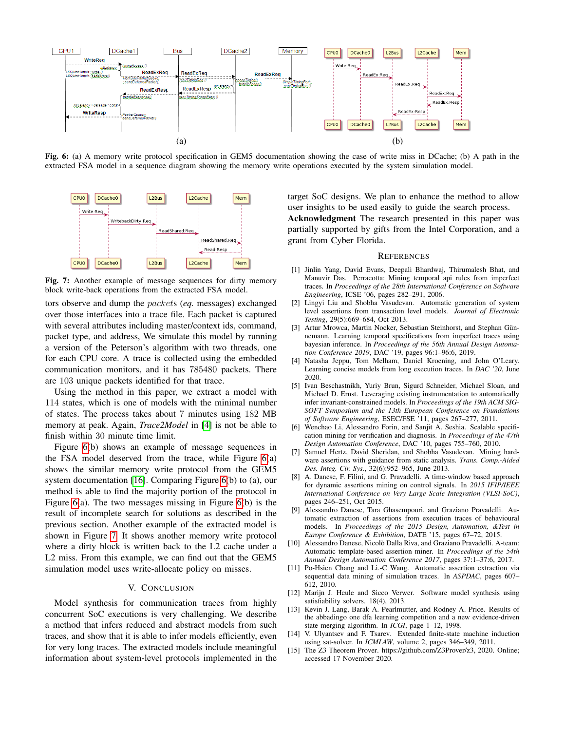<span id="page-5-13"></span>

Fig. 6: (a) A memory write protocol specification in GEM5 documentation showing the case of write miss in DCache; (b) A path in the extracted FSA model in a sequence diagram showing the memory write operations executed by the system simulation model.

<span id="page-5-14"></span>

Fig. 7: Another example of message sequences for dirty memory block write-back operations from the extracted FSA model.

tors observe and dump the packets (*eq.* messages) exchanged over those interfaces into a trace file. Each packet is captured with several attributes including master/context ids, command, packet type, and address, We simulate this model by running a version of the Peterson's algorithm with two threads, one for each CPU core. A trace is collected using the embedded communication monitors, and it has 785480 packets. There are 103 unique packets identified for that trace.

Using the method in this paper, we extract a model with 114 states, which is one of models with the minimal number of states. The process takes about 7 minutes using 182 MB memory at peak. Again, *Trace2Model* in [\[4\]](#page-5-1) is not be able to finish within 30 minute time limit.

Figure [6\(](#page-5-13)b) shows an example of message sequences in the FSA model deserved from the trace, while Figure [6\(](#page-5-13)a) shows the similar memory write protocol from the GEM5 system documentation [\[16\]](#page-6-0). Comparing Figure [6\(](#page-5-13)b) to (a), our method is able to find the majority portion of the protocol in Figure [6\(](#page-5-13)a). The two messages missing in Figure [6\(](#page-5-13)b) is the result of incomplete search for solutions as described in the previous section. Another example of the extracted model is shown in Figure [7.](#page-5-14) It shows another memory write protocol where a dirty block is written back to the L2 cache under a L2 miss. From this example, we can find out that the GEM5 simulation model uses write-allocate policy on misses.

## V. CONCLUSION

Model synthesis for communication traces from highly concurrent SoC executions is very challenging. We describe a method that infers reduced and abstract models from such traces, and show that it is able to infer models efficiently, even for very long traces. The extracted models include meaningful information about system-level protocols implemented in the target SoC designs. We plan to enhance the method to allow user insights to be used easily to guide the search process.

Acknowledgment The research presented in this paper was partially supported by gifts from the Intel Corporation, and a grant from Cyber Florida.

#### **REFERENCES**

- <span id="page-5-0"></span>[1] Jinlin Yang, David Evans, Deepali Bhardwaj, Thirumalesh Bhat, and Manuvir Das. Perracotta: Mining temporal api rules from imperfect traces. In *Proceedings of the 28th International Conference on Software Engineering*, ICSE '06, pages 282–291, 2006.
- <span id="page-5-8"></span>[2] Lingyi Liu and Shobha Vasudevan. Automatic generation of system level assertions from transaction level models. *Journal of Electronic Testing*, 29(5):669–684, Oct 2013.
- <span id="page-5-3"></span>[3] Artur Mrowca, Martin Nocker, Sebastian Steinhorst, and Stephan Günnemann. Learning temporal specifications from imperfect traces using bayesian inference. In *Proceedings of the 56th Annual Design Automation Conference 2019*, DAC '19, pages 96:1–96:6, 2019.
- <span id="page-5-1"></span>[4] Natasha Jeppu, Tom Melham, Daniel Kroening, and John O'Leary. Learning concise models from long execution traces. In *DAC '20*, June 2020.
- <span id="page-5-2"></span>[5] Ivan Beschastnikh, Yuriy Brun, Sigurd Schneider, Michael Sloan, and Michael D. Ernst. Leveraging existing instrumentation to automatically infer invariant-constrained models. In *Proceedings of the 19th ACM SIG-SOFT Symposium and the 13th European Conference on Foundations of Software Engineering*, ESEC/FSE '11, pages 267–277, 2011.
- <span id="page-5-4"></span>[6] Wenchao Li, Alessandro Forin, and Sanjit A. Seshia. Scalable specification mining for verification and diagnosis. In *Proceedings of the 47th Design Automation Conference*, DAC '10, pages 755–760, 2010.
- <span id="page-5-6"></span>[7] Samuel Hertz, David Sheridan, and Shobha Vasudevan. Mining hardware assertions with guidance from static analysis. *Trans. Comp.-Aided Des. Integ. Cir. Sys.*, 32(6):952–965, June 2013.
- [8] A. Danese, F. Filini, and G. Pravadelli. A time-window based approach for dynamic assertions mining on control signals. In *2015 IFIP/IEEE International Conference on Very Large Scale Integration (VLSI-SoC)*, pages 246–251, Oct 2015.
- [9] Alessandro Danese, Tara Ghasempouri, and Graziano Pravadelli. Automatic extraction of assertions from execution traces of behavioural models. In *Proceedings of the 2015 Design, Automation, &Test in Europe Conference & Exhibition*, DATE '15, pages 67–72, 2015.
- <span id="page-5-5"></span>[10] Alessandro Danese, Nicolò Dalla Riva, and Graziano Pravadelli. A-team: Automatic template-based assertion miner. In *Proceedings of the 54th Annual Design Automation Conference 2017*, pages 37:1–37:6, 2017.
- <span id="page-5-7"></span>[11] Po-Hsien Chang and Li.-C Wang. Automatic assertion extraction via sequential data mining of simulation traces. In *ASPDAC*, pages 607– 612, 2010.
- <span id="page-5-9"></span>[12] Marijn J. Heule and Sicco Verwer. Software model synthesis using satisfiability solvers. 18(4), 2013.
- <span id="page-5-10"></span>[13] Kevin J. Lang, Barak A. Pearlmutter, and Rodney A. Price. Results of the abbadingo one dfa learning competition and a new evidence-driven state merging algorithm. In *ICGI*, page 1–12, 1998.
- <span id="page-5-11"></span>[14] V. Ulyantsev and F. Tsarev. Extended finite-state machine induction using sat-solver. In *ICMLAW*, volume 2, pages 346–349, 2011.
- <span id="page-5-12"></span>[15] The Z3 Theorem Prover. https://github.com/Z3Prover/z3, 2020. Online; accessed 17 November 2020.